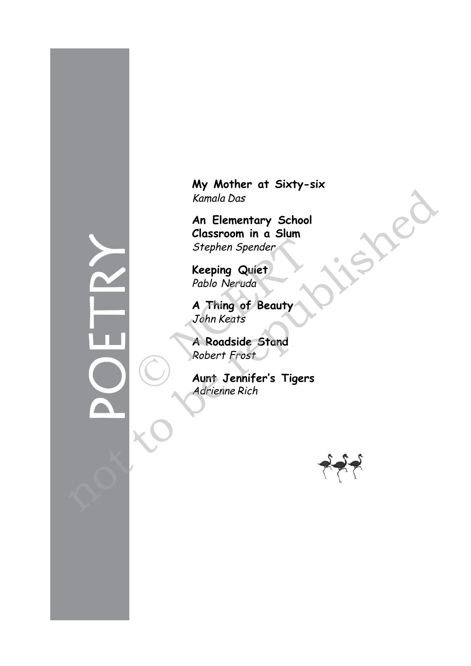**My Mother at Sixty-six** Kamala Das

**An Elementary School Classroom in a Slum** Stephen Spender

**Keeping Quiet** Pablo Neruda

**A Thing of Beauty** John Keats Stephen Spender<br>
Stephen Spender<br>
Reeping Quiet<br>
Pablo Neruda<br>
A Thing of Beauty<br>
John Keats<br>
A Roadside Stand<br>
Robert Frost<br>
Aunt Jennifer's Tiger:<br>
Adrienne Rich

**A Roadside Stand** Robert Frost

**Aunt Jennifer's Tigers** Adrienne Rich



POETRY Kamala Das<br>
An Elementary School<br>
Classroom in a Slum<br>
Stephen Spender<br>
Keeping Quiet<br>
Pablo Neruda<br>
A Thing of Beauty<br>
John Keats<br>
A Roadside Stand<br>
Robert Frost<br>
A Nodaside Stand<br>
Robert Frost<br>
A direct Frost<br>
Adviser Fr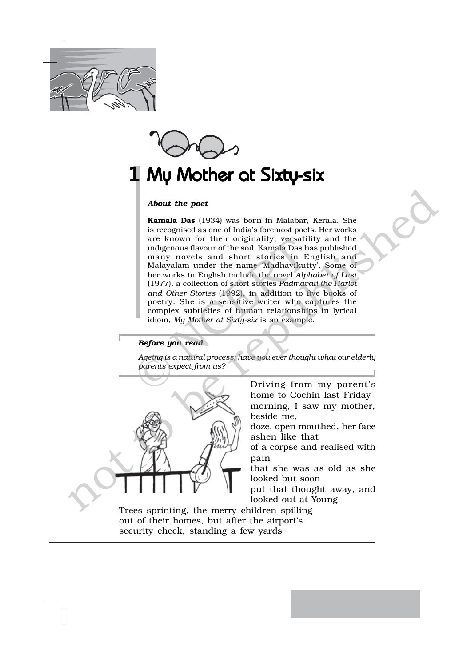



## My Mother at Sixty-six 1

## *About the poet*

**Kamala Das** (1934) was born in Malabar, Kerala. She is recognised as one of India's foremost poets. Her works are known for their originality, versatility and the indigenous flavour of the soil. Kamala Das has published many novels and short stories in English and Malayalam under the name 'Madhavikutty'. Some of her works in English include the novel *Alphabet of Lust* (1977), a collection of short stories *Padmavati the Harlot and Other Stories* (1992), in addition to five books of poetry. She is a sensitive writer who captures the complex subtleties of human relationships in lyrical idiom, *My Mother at Sixty-six* is an example. are known for their originality, versatil<br>
indigenous flavour of the soil. Kamala Das has<br>
many novels and short stories in E<br>
Malayalam under the name 'Madhavikut<br>
her works in English include the novel Alp<br>
(1977), a col **About the poet**<br> **Examble Desi**<br>
is recognised as one of India's foremation periodic state works<br>
is recognised as a confider solid in the properties like the properties are known for their originality, versatility and th

## *Before you read*

*Ageing is a natural process; have you ever thought what our elderly parents expect from us?*



Driving from my parent's home to Cochin last Friday morning, I saw my mother, beside me,

doze, open mouthed, her face ashen like that

of a corpse and realised with pain

that she was as old as she looked but soon

put that thought away, and looked out at Young

Trees sprinting, the merry children spilling out of their homes, but after the airport's security check, standing a few yards